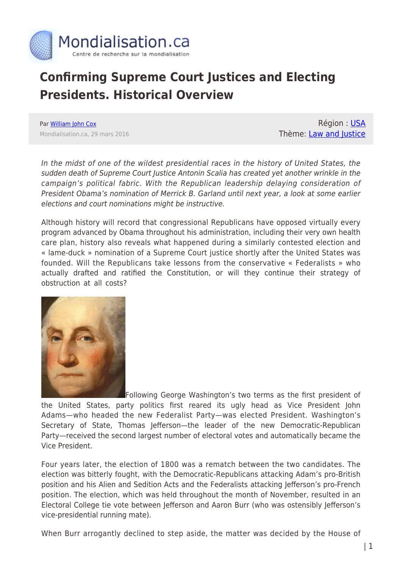

## **Confirming Supreme Court Justices and Electing Presidents. Historical Overview**

Par [William John Cox](https://www.mondialisation.ca/author/william-john-cox) Mondialisation.ca, 29 mars 2016

Région : [USA](https://www.mondialisation.ca/region/usa) Thème: [Law and Justice](https://www.mondialisation.ca/theme/law-and-justice)

In the midst of one of the wildest presidential races in the history of United States, the sudden death of Supreme Court Justice Antonin Scalia has created yet another wrinkle in the campaign's political fabric. With the Republican leadership delaying consideration of President Obama's nomination of Merrick B. Garland until next year, a look at some earlier elections and court nominations might be instructive.

Although history will record that congressional Republicans have opposed virtually every program advanced by Obama throughout his administration, including their very own health care plan, history also reveals what happened during a similarly contested election and « lame-duck » nomination of a Supreme Court justice shortly after the United States was founded. Will the Republicans take lessons from the conservative « Federalists » who actually drafted and ratified the Constitution, or will they continue their strategy of obstruction at all costs?



[F](http://www.globalresearch.ca/wp-content/uploads/2014/11/georgewashington-1.jpg)ollowing George Washington's two terms as the first president of the United States, party politics first reared its ugly head as Vice President John Adams—who headed the new Federalist Party—was elected President. Washington's Secretary of State, Thomas Jefferson—the leader of the new Democratic-Republican Party—received the second largest number of electoral votes and automatically became the Vice President.

Four years later, the election of 1800 was a rematch between the two candidates. The election was bitterly fought, with the Democratic-Republicans attacking Adam's pro-British position and his Alien and Sedition Acts and the Federalists attacking Jefferson's pro-French position. The election, which was held throughout the month of November, resulted in an Electoral College tie vote between Jefferson and Aaron Burr (who was ostensibly Jefferson's vice-presidential running mate).

When Burr arrogantly declined to step aside, the matter was decided by the House of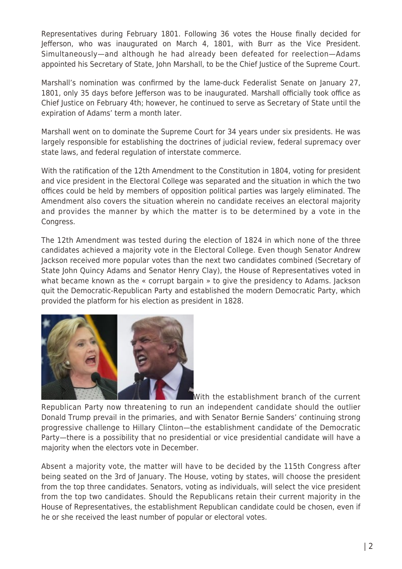Representatives during February 1801. Following 36 votes the House finally decided for Jefferson, who was inaugurated on March 4, 1801, with Burr as the Vice President. Simultaneously—and although he had already been defeated for reelection—Adams appointed his Secretary of State, John Marshall, to be the Chief Justice of the Supreme Court.

Marshall's nomination was confirmed by the lame-duck Federalist Senate on January 27, 1801, only 35 days before Jefferson was to be inaugurated. Marshall officially took office as Chief Justice on February 4th; however, he continued to serve as Secretary of State until the expiration of Adams' term a month later.

Marshall went on to dominate the Supreme Court for 34 years under six presidents. He was largely responsible for establishing the doctrines of judicial review, federal supremacy over state laws, and federal regulation of interstate commerce.

With the ratification of the 12th Amendment to the Constitution in 1804, voting for president and vice president in the Electoral College was separated and the situation in which the two offices could be held by members of opposition political parties was largely eliminated. The Amendment also covers the situation wherein no candidate receives an electoral majority and provides the manner by which the matter is to be determined by a vote in the Congress.

The 12th Amendment was tested during the election of 1824 in which none of the three candidates achieved a majority vote in the Electoral College. Even though Senator Andrew Jackson received more popular votes than the next two candidates combined (Secretary of State John Quincy Adams and Senator Henry Clay), the House of Representatives voted in what became known as the « corrupt bargain » to give the presidency to Adams. Jackson quit the Democratic-Republican Party and established the modern Democratic Party, which provided the platform for his election as president in 1828.



With the establishment branch of the current Republican Party now threatening to run an independent candidate should the outlier Donald Trump prevail in the primaries, and with Senator Bernie Sanders' continuing strong progressive challenge to Hillary Clinton—the establishment candidate of the Democratic Party—there is a possibility that no presidential or vice presidential candidate will have a majority when the electors vote in December.

Absent a majority vote, the matter will have to be decided by the 115th Congress after being seated on the 3rd of January. The House, voting by states, will choose the president from the top three candidates. Senators, voting as individuals, will select the vice president from the top two candidates. Should the Republicans retain their current majority in the House of Representatives, the establishment Republican candidate could be chosen, even if he or she received the least number of popular or electoral votes.